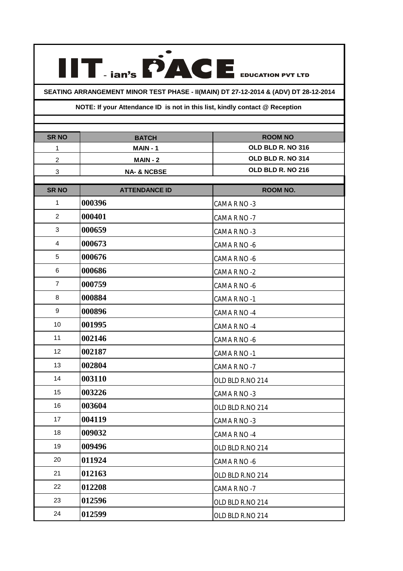**SEATING ARRANGEMENT MINOR TEST PHASE - II(MAIN) DT 27-12-2014 & (ADV) DT 28-12-2014**

**IIT FACE** EDUCATION PVT LTD

## **NOTE: If your Attendance ID is not in this list, kindly contact @ Reception**

| <b>SR NO</b>     | <b>BATCH</b>           | <b>ROOM NO</b><br>OLD BLD R. NO 316 |
|------------------|------------------------|-------------------------------------|
| 1                | MAIN-1                 | OLD BLD R. NO 314                   |
| $\boldsymbol{2}$ | $MAIN - 2$             |                                     |
| 3                | <b>NA- &amp; NCBSE</b> | OLD BLD R. NO 216                   |
| <b>SR NO</b>     | <b>ATTENDANCE ID</b>   | <b>ROOM NO.</b>                     |
| $\mathbf 1$      | 000396                 | CAMA R NO -3                        |
| $\overline{c}$   | 000401                 | CAMA R NO -7                        |
| 3                | 000659                 | CAMA R NO -3                        |
| $\overline{4}$   | 000673                 | CAMA R NO -6                        |
| 5                | 000676                 | CAMA R NO -6                        |
| 6                | 000686                 | CAMA R NO -2                        |
| $\overline{7}$   | 000759                 | CAMA R NO -6                        |
| 8                | 000884                 | CAMA R NO -1                        |
| 9                | 000896                 | CAMA R NO -4                        |
| 10               | 001995                 | CAMA R NO -4                        |
| 11               | 002146                 | CAMA R NO -6                        |
| 12               | 002187                 | CAMA R NO -1                        |
| 13               | 002804                 | CAMA R NO -7                        |
| 14               | 003110                 | OLD BLD R.NO 214                    |
| 15               | 003226                 | CAMA R NO -3                        |
| 16               | 003604                 | OLD BLD R.NO 214                    |
| 17               | 004119                 | CAMA R NO -3                        |
| 18               | 009032                 | CAMA R NO -4                        |
| 19               | 009496                 | OLD BLD R.NO 214                    |
| 20               | 011924                 | CAMA R NO -6                        |
| 21               | 012163                 | OLD BLD R.NO 214                    |
| 22               | 012208                 | CAMA R NO -7                        |
| 23               | 012596                 | OLD BLD R.NO 214                    |
| 24               | 012599                 | OLD BLD R.NO 214                    |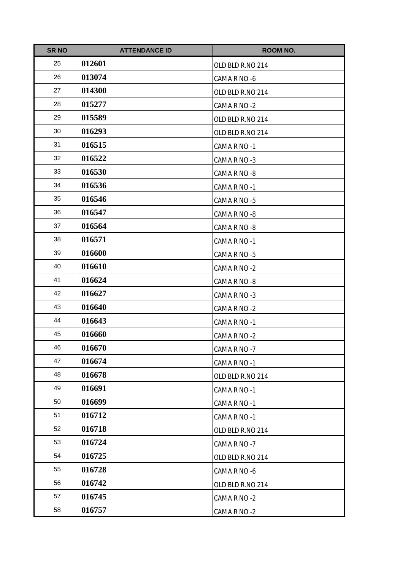| <b>SR NO</b> | <b>ATTENDANCE ID</b> | <b>ROOM NO.</b>  |
|--------------|----------------------|------------------|
| 25           | 012601               | OLD BLD R.NO 214 |
| 26           | 013074               | CAMA R NO -6     |
| 27           | 014300               | OLD BLD R.NO 214 |
| 28           | 015277               | CAMA R NO -2     |
| 29           | 015589               | OLD BLD R.NO 214 |
| 30           | 016293               | OLD BLD R.NO 214 |
| 31           | 016515               | CAMA R NO -1     |
| 32           | 016522               | CAMA R NO -3     |
| 33           | 016530               | CAMA R NO -8     |
| 34           | 016536               | CAMA R NO -1     |
| 35           | 016546               | CAMA R NO -5     |
| 36           | 016547               | CAMA R NO -8     |
| 37           | 016564               | CAMA R NO -8     |
| 38           | 016571               | CAMA R NO -1     |
| 39           | 016600               | CAMA R NO -5     |
| 40           | 016610               | CAMA R NO -2     |
| 41           | 016624               | CAMA R NO -8     |
| 42           | 016627               | CAMA R NO -3     |
| 43           | 016640               | CAMA R NO -2     |
| 44           | 016643               | CAMA R NO -1     |
| 45           | 016660               | CAMA R NO -2     |
| 46           | 016670               | CAMA R NO -7     |
| 47           | 016674               | CAMA R NO -1     |
| 48           | 016678               | OLD BLD R.NO 214 |
| 49           | 016691               | CAMA R NO -1     |
| 50           | 016699               | CAMA R NO -1     |
| 51           | 016712               | CAMA R NO -1     |
| 52           | 016718               | OLD BLD R.NO 214 |
| 53           | 016724               | CAMA R NO -7     |
| 54           | 016725               | OLD BLD R.NO 214 |
| 55           | 016728               | CAMA R NO -6     |
| 56           | 016742               | OLD BLD R.NO 214 |
| 57           | 016745               | CAMA R NO -2     |
| 58           | 016757               | CAMA R NO -2     |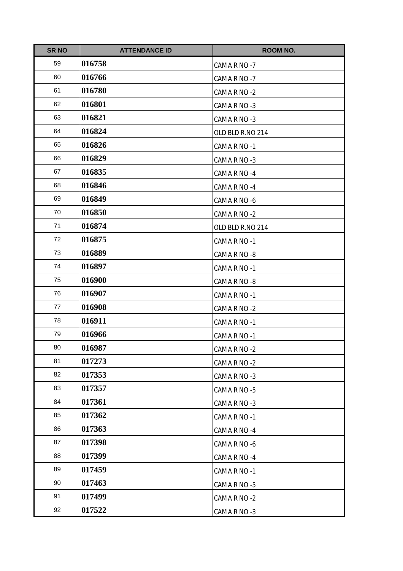| <b>SR NO</b> | <b>ATTENDANCE ID</b> | <b>ROOM NO.</b>  |
|--------------|----------------------|------------------|
| 59           | 016758               | CAMA R NO -7     |
| 60           | 016766               | CAMA R NO -7     |
| 61           | 016780               | CAMA R NO -2     |
| 62           | 016801               | CAMA R NO -3     |
| 63           | 016821               | CAMA R NO -3     |
| 64           | 016824               | OLD BLD R.NO 214 |
| 65           | 016826               | CAMA R NO -1     |
| 66           | 016829               | CAMA R NO -3     |
| 67           | 016835               | CAMA R NO -4     |
| 68           | 016846               | CAMA R NO -4     |
| 69           | 016849               | CAMA R NO -6     |
| 70           | 016850               | CAMA R NO -2     |
| 71           | 016874               | OLD BLD R.NO 214 |
| 72           | 016875               | CAMA R NO -1     |
| 73           | 016889               | CAMA R NO -8     |
| 74           | 016897               | CAMA R NO -1     |
| 75           | 016900               | CAMA R NO -8     |
| 76           | 016907               | CAMA R NO -1     |
| 77           | 016908               | CAMA R NO -2     |
| 78           | 016911               | CAMA R NO -1     |
| 79           | 016966               | CAMA R NO -1     |
| 80           | 016987               | CAMA R NO-2      |
| 81           | 017273               | CAMA R NO -2     |
| 82           | 017353               | CAMA R NO -3     |
| 83           | 017357               | CAMA R NO -5     |
| 84           | 017361               | CAMA R NO -3     |
| 85           | 017362               | CAMA R NO -1     |
| 86           | 017363               | CAMA R NO -4     |
| 87           | 017398               | CAMA R NO -6     |
| 88           | 017399               | CAMA R NO -4     |
| 89           | 017459               | CAMA R NO -1     |
| 90           | 017463               | CAMA R NO -5     |
| 91           | 017499               | CAMA R NO -2     |
| 92           | 017522               | CAMA R NO -3     |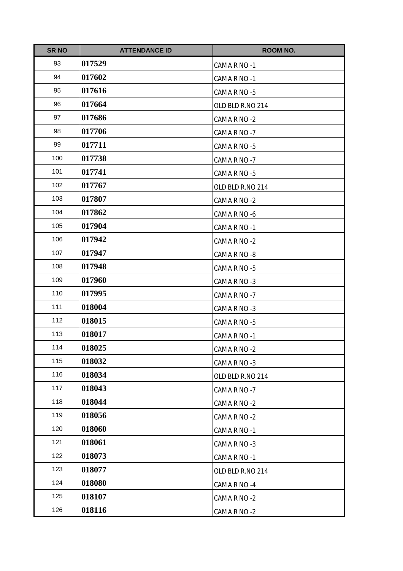| <b>SR NO</b> | <b>ATTENDANCE ID</b> | <b>ROOM NO.</b>  |
|--------------|----------------------|------------------|
| 93           | 017529               | CAMA R NO -1     |
| 94           | 017602               | CAMA R NO -1     |
| 95           | 017616               | CAMA R NO -5     |
| 96           | 017664               | OLD BLD R.NO 214 |
| 97           | 017686               | CAMA R NO -2     |
| 98           | 017706               | CAMA R NO -7     |
| 99           | 017711               | CAMA R NO -5     |
| 100          | 017738               | CAMA R NO -7     |
| 101          | 017741               | CAMA R NO -5     |
| 102          | 017767               | OLD BLD R.NO 214 |
| 103          | 017807               | CAMA R NO -2     |
| 104          | 017862               | CAMA R NO -6     |
| 105          | 017904               | CAMA R NO -1     |
| 106          | 017942               | CAMA R NO -2     |
| 107          | 017947               | CAMA R NO -8     |
| 108          | 017948               | CAMA R NO -5     |
| 109          | 017960               | CAMA R NO -3     |
| 110          | 017995               | CAMA R NO -7     |
| 111          | 018004               | CAMA R NO -3     |
| 112          | 018015               | CAMA R NO -5     |
| 113          | 018017               | CAMA R NO -1     |
| 114          | 018025               | CAMA R NO-2      |
| 115          | 018032               | CAMA R NO -3     |
| 116          | 018034               | OLD BLD R.NO 214 |
| 117          | 018043               | CAMA R NO -7     |
| 118          | 018044               | CAMA R NO -2     |
| 119          | 018056               | CAMA R NO -2     |
| 120          | 018060               | CAMA R NO -1     |
| 121          | 018061               | CAMA R NO -3     |
| 122          | 018073               | CAMA R NO -1     |
| 123          | 018077               | OLD BLD R.NO 214 |
| 124          | 018080               | CAMA R NO -4     |
| 125          | 018107               | CAMA R NO -2     |
| 126          | 018116               | CAMA R NO -2     |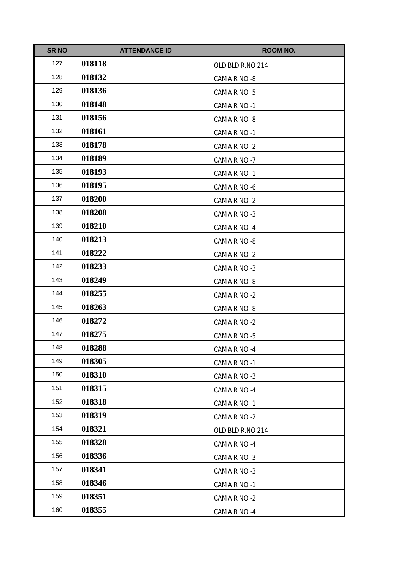| <b>SR NO</b> | <b>ATTENDANCE ID</b> | <b>ROOM NO.</b>  |
|--------------|----------------------|------------------|
| 127          | 018118               | OLD BLD R.NO 214 |
| 128          | 018132               | CAMA R NO -8     |
| 129          | 018136               | CAMA R NO -5     |
| 130          | 018148               | CAMA R NO -1     |
| 131          | 018156               | CAMA R NO -8     |
| 132          | 018161               | CAMA R NO -1     |
| 133          | 018178               | CAMA R NO -2     |
| 134          | 018189               | CAMA R NO -7     |
| 135          | 018193               | CAMA R NO -1     |
| 136          | 018195               | CAMA R NO -6     |
| 137          | 018200               | CAMA R NO -2     |
| 138          | 018208               | CAMA R NO -3     |
| 139          | 018210               | CAMA R NO -4     |
| 140          | 018213               | CAMA R NO -8     |
| 141          | 018222               | CAMA R NO -2     |
| 142          | 018233               | CAMA R NO -3     |
| 143          | 018249               | CAMA R NO -8     |
| 144          | 018255               | CAMA R NO -2     |
| 145          | 018263               | CAMA R NO -8     |
| 146          | 018272               | CAMA R NO -2     |
| 147          | 018275               | CAMA R NO -5     |
| 148          | 018288               | CAMA R NO -4     |
| 149          | 018305               | CAMA R NO -1     |
| 150          | 018310               | CAMA R NO -3     |
| 151          | 018315               | CAMA R NO -4     |
| 152          | 018318               | CAMA R NO -1     |
| 153          | 018319               | CAMA R NO -2     |
| 154          | 018321               | OLD BLD R.NO 214 |
| 155          | 018328               | CAMA R NO -4     |
| 156          | 018336               | CAMA R NO -3     |
| 157          | 018341               | CAMA R NO -3     |
| 158          | 018346               | CAMA R NO -1     |
| 159          | 018351               | CAMA R NO -2     |
| 160          | 018355               | CAMA R NO -4     |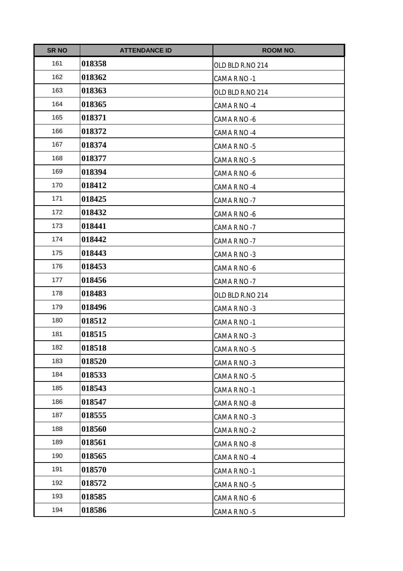| <b>SR NO</b> | <b>ATTENDANCE ID</b> | <b>ROOM NO.</b>  |
|--------------|----------------------|------------------|
| 161          | 018358               | OLD BLD R.NO 214 |
| 162          | 018362               | CAMA R NO -1     |
| 163          | 018363               | OLD BLD R.NO 214 |
| 164          | 018365               | CAMA R NO -4     |
| 165          | 018371               | CAMA R NO -6     |
| 166          | 018372               | CAMA R NO -4     |
| 167          | 018374               | CAMA R NO -5     |
| 168          | 018377               | CAMA R NO -5     |
| 169          | 018394               | CAMA R NO -6     |
| 170          | 018412               | CAMA R NO -4     |
| 171          | 018425               | CAMA R NO -7     |
| 172          | 018432               | CAMA R NO -6     |
| 173          | 018441               | CAMA R NO -7     |
| 174          | 018442               | CAMA R NO -7     |
| 175          | 018443               | CAMA R NO -3     |
| 176          | 018453               | CAMA R NO -6     |
| 177          | 018456               | CAMA R NO -7     |
| 178          | 018483               | OLD BLD R.NO 214 |
| 179          | 018496               | CAMA R NO -3     |
| 180          | 018512               | CAMA R NO -1     |
| 181          | 018515               | CAMA R NO -3     |
| 182          | 018518               | CAMA R NO -5     |
| 183          | 018520               | CAMA R NO -3     |
| 184          | 018533               | CAMA R NO -5     |
| 185          | 018543               | CAMA R NO -1     |
| 186          | 018547               | CAMA R NO -8     |
| 187          | 018555               | CAMA R NO -3     |
| 188          | 018560               | CAMA R NO -2     |
| 189          | 018561               | CAMA R NO -8     |
| 190          | 018565               | CAMA R NO -4     |
| 191          | 018570               | CAMA R NO -1     |
| 192          | 018572               | CAMA R NO -5     |
| 193          | 018585               | CAMA R NO -6     |
| 194          | 018586               | CAMA R NO -5     |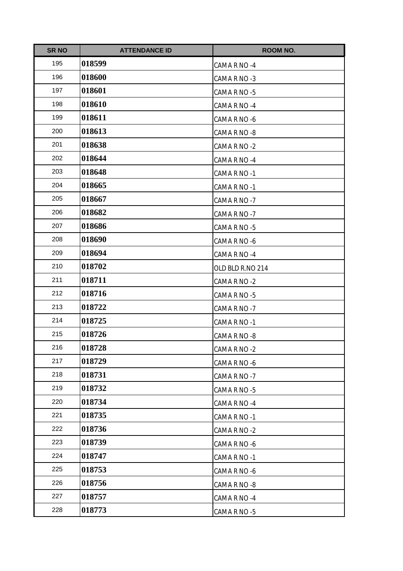| <b>SR NO</b> | <b>ATTENDANCE ID</b> | <b>ROOM NO.</b>  |
|--------------|----------------------|------------------|
| 195          | 018599               | CAMA R NO -4     |
| 196          | 018600               | CAMA R NO -3     |
| 197          | 018601               | CAMA R NO -5     |
| 198          | 018610               | CAMA R NO -4     |
| 199          | 018611               | CAMA R NO -6     |
| 200          | 018613               | CAMA R NO -8     |
| 201          | 018638               | CAMA R NO -2     |
| 202          | 018644               | CAMA R NO -4     |
| 203          | 018648               | CAMA R NO -1     |
| 204          | 018665               | CAMA R NO -1     |
| 205          | 018667               | CAMA R NO -7     |
| 206          | 018682               | CAMA R NO -7     |
| 207          | 018686               | CAMA R NO -5     |
| 208          | 018690               | CAMA R NO -6     |
| 209          | 018694               | CAMA R NO -4     |
| 210          | 018702               | OLD BLD R.NO 214 |
| 211          | 018711               | CAMA R NO -2     |
| 212          | 018716               | CAMA R NO -5     |
| 213          | 018722               | CAMA R NO -7     |
| 214          | 018725               | CAMA R NO -1     |
| 215          | 018726               | CAMA R NO -8     |
| 216          | 018728               | CAMA R NO-2      |
| 217          | 018729               | CAMA R NO -6     |
| 218          | 018731               | CAMA R NO -7     |
| 219          | 018732               | CAMA R NO -5     |
| 220          | 018734               | CAMA R NO -4     |
| 221          | 018735               | CAMA R NO -1     |
| 222          | 018736               | CAMA R NO -2     |
| 223          | 018739               | CAMA R NO -6     |
| 224          | 018747               | CAMA R NO -1     |
| 225          | 018753               | CAMA R NO -6     |
| 226          | 018756               | CAMA R NO -8     |
| 227          | 018757               | CAMA R NO -4     |
| 228          | 018773               | CAMA R NO -5     |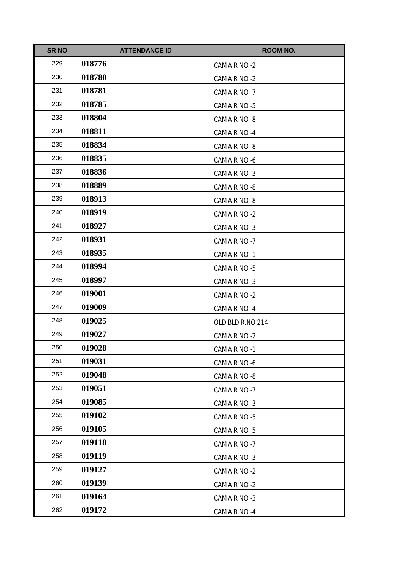| <b>SR NO</b> | <b>ATTENDANCE ID</b> | <b>ROOM NO.</b>  |
|--------------|----------------------|------------------|
| 229          | 018776               | CAMA R NO -2     |
| 230          | 018780               | CAMA R NO -2     |
| 231          | 018781               | CAMA R NO -7     |
| 232          | 018785               | CAMA R NO -5     |
| 233          | 018804               | CAMA R NO -8     |
| 234          | 018811               | CAMA R NO -4     |
| 235          | 018834               | CAMA R NO -8     |
| 236          | 018835               | CAMA R NO -6     |
| 237          | 018836               | CAMA R NO -3     |
| 238          | 018889               | CAMA R NO -8     |
| 239          | 018913               | CAMA R NO -8     |
| 240          | 018919               | CAMA R NO -2     |
| 241          | 018927               | CAMA R NO -3     |
| 242          | 018931               | CAMA R NO -7     |
| 243          | 018935               | CAMA R NO -1     |
| 244          | 018994               | CAMA R NO -5     |
| 245          | 018997               | CAMA R NO -3     |
| 246          | 019001               | CAMA R NO -2     |
| 247          | 019009               | CAMA R NO -4     |
| 248          | 019025               | OLD BLD R.NO 214 |
| 249          | 019027               | CAMA R NO -2     |
| 250          | 019028               | CAMA R NO -1     |
| 251          | 019031               | CAMA R NO -6     |
| 252          | 019048               | CAMA R NO -8     |
| 253          | 019051               | CAMA R NO -7     |
| 254          | 019085               | CAMA R NO -3     |
| 255          | 019102               | CAMA R NO -5     |
| 256          | 019105               | CAMA R NO -5     |
| 257          | 019118               | CAMA R NO -7     |
| 258          | 019119               | CAMA R NO -3     |
| 259          | 019127               | CAMA R NO -2     |
| 260          | 019139               | CAMA R NO -2     |
| 261          | 019164               | CAMA R NO -3     |
| 262          | 019172               | CAMA R NO -4     |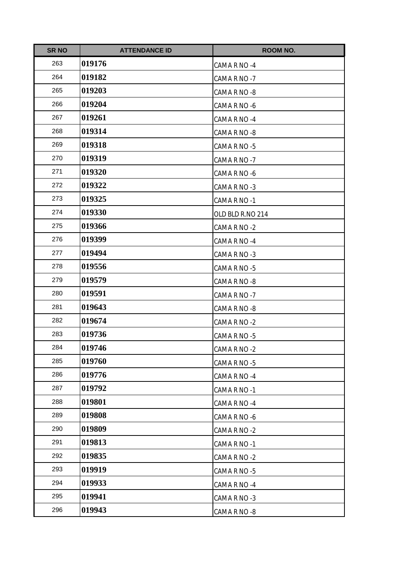| <b>SR NO</b> | <b>ATTENDANCE ID</b> | ROOM NO.         |
|--------------|----------------------|------------------|
| 263          | 019176               | CAMA R NO -4     |
| 264          | 019182               | CAMA R NO -7     |
| 265          | 019203               | CAMA R NO -8     |
| 266          | 019204               | CAMA R NO -6     |
| 267          | 019261               | CAMA R NO -4     |
| 268          | 019314               | CAMA R NO -8     |
| 269          | 019318               | CAMA R NO -5     |
| 270          | 019319               | CAMA R NO -7     |
| 271          | 019320               | CAMA R NO -6     |
| 272          | 019322               | CAMA R NO -3     |
| 273          | 019325               | CAMA R NO -1     |
| 274          | 019330               | OLD BLD R.NO 214 |
| 275          | 019366               | CAMA R NO -2     |
| 276          | 019399               | CAMA R NO -4     |
| 277          | 019494               | CAMA R NO -3     |
| 278          | 019556               | CAMA R NO -5     |
| 279          | 019579               | CAMA R NO -8     |
| 280          | 019591               | CAMA R NO -7     |
| 281          | 019643               | CAMA R NO -8     |
| 282          | 019674               | CAMA R NO -2     |
| 283          | 019736               | CAMA R NO -5     |
| 284          | 019746               | CAMA R NO-2      |
| 285          | 019760               | CAMA R NO -5     |
| 286          | 019776               | CAMA R NO -4     |
| 287          | 019792               | CAMA R NO -1     |
| 288          | 019801               | CAMA R NO -4     |
| 289          | 019808               | CAMA R NO -6     |
| 290          | 019809               | CAMA R NO -2     |
| 291          | 019813               | CAMA R NO -1     |
| 292          | 019835               | CAMA R NO -2     |
| 293          | 019919               | CAMA R NO -5     |
| 294          | 019933               | CAMA R NO -4     |
| 295          | 019941               | CAMA R NO -3     |
| 296          | 019943               | CAMA R NO -8     |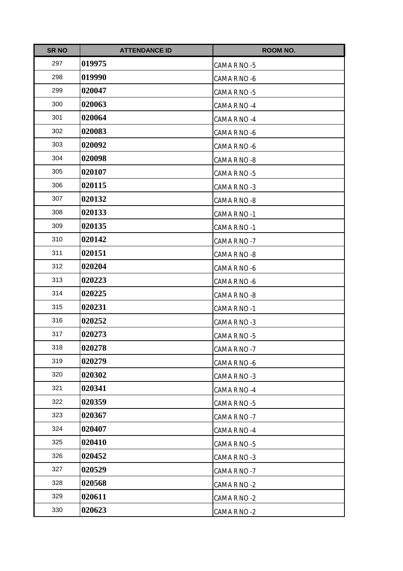| <b>SR NO</b> | <b>ATTENDANCE ID</b> | <b>ROOM NO.</b> |
|--------------|----------------------|-----------------|
| 297          | 019975               | CAMA R NO -5    |
| 298          | 019990               | CAMA R NO -6    |
| 299          | 020047               | CAMA R NO -5    |
| 300          | 020063               | CAMA R NO -4    |
| 301          | 020064               | CAMA R NO -4    |
| 302          | 020083               | CAMA R NO -6    |
| 303          | 020092               | CAMA R NO -6    |
| 304          | 020098               | CAMA R NO -8    |
| 305          | 020107               | CAMA R NO -5    |
| 306          | 020115               | CAMA R NO -3    |
| 307          | 020132               | CAMA R NO -8    |
| 308          | 020133               | CAMA R NO -1    |
| 309          | 020135               | CAMA R NO -1    |
| 310          | 020142               | CAMA R NO -7    |
| 311          | 020151               | CAMA R NO -8    |
| 312          | 020204               | CAMA R NO -6    |
| 313          | 020223               | CAMA R NO -6    |
| 314          | 020225               | CAMA R NO -8    |
| 315          | 020231               | CAMA R NO -1    |
| 316          | 020252               | CAMA R NO -3    |
| 317          | 020273               | CAMA R NO -5    |
| 318          | 020278               | CAMA R NO -7    |
| 319          | 020279               | CAMA R NO -6    |
| 320          | 020302               | CAMA R NO -3    |
| 321          | 020341               | CAMA R NO -4    |
| 322          | 020359               | CAMA R NO -5    |
| 323          | 020367               | CAMA R NO -7    |
| 324          | 020407               | CAMA R NO -4    |
| 325          | 020410               | CAMA R NO -5    |
| 326          | 020452               | CAMA R NO -3    |
| 327          | 020529               | CAMA R NO -7    |
| 328          | 020568               | CAMA R NO -2    |
| 329          | 020611               | CAMA R NO -2    |
| 330          | 020623               | CAMA R NO -2    |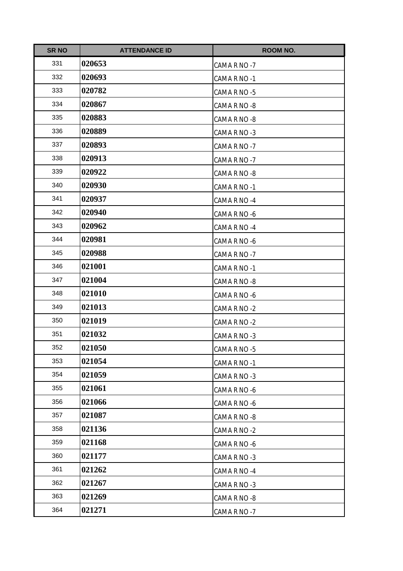| <b>SR NO</b> | <b>ATTENDANCE ID</b> | <b>ROOM NO.</b> |
|--------------|----------------------|-----------------|
| 331          | 020653               | CAMA R NO -7    |
| 332          | 020693               | CAMA R NO -1    |
| 333          | 020782               | CAMA R NO -5    |
| 334          | 020867               | CAMA R NO -8    |
| 335          | 020883               | CAMA R NO -8    |
| 336          | 020889               | CAMA R NO -3    |
| 337          | 020893               | CAMA R NO -7    |
| 338          | 020913               | CAMA R NO -7    |
| 339          | 020922               | CAMA R NO -8    |
| 340          | 020930               | CAMA R NO -1    |
| 341          | 020937               | CAMA R NO -4    |
| 342          | 020940               | CAMA R NO -6    |
| 343          | 020962               | CAMA R NO -4    |
| 344          | 020981               | CAMA R NO -6    |
| 345          | 020988               | CAMA R NO -7    |
| 346          | 021001               | CAMA R NO -1    |
| 347          | 021004               | CAMA R NO -8    |
| 348          | 021010               | CAMA R NO -6    |
| 349          | 021013               | CAMA R NO -2    |
| 350          | 021019               | CAMA R NO -2    |
| 351          | 021032               | CAMA R NO -3    |
| 352          | 021050               | CAMA R NO -5    |
| 353          | 021054               | CAMA R NO -1    |
| 354          | 021059               | CAMA R NO -3    |
| 355          | 021061               | CAMA R NO -6    |
| 356          | 021066               | CAMA R NO -6    |
| 357          | 021087               | CAMA R NO -8    |
| 358          | 021136               | CAMA R NO -2    |
| 359          | 021168               | CAMA R NO -6    |
| 360          | 021177               | CAMA R NO -3    |
| 361          | 021262               | CAMA R NO -4    |
| 362          | 021267               | CAMA R NO -3    |
| 363          | 021269               | CAMA R NO -8    |
| 364          | 021271               | CAMA R NO -7    |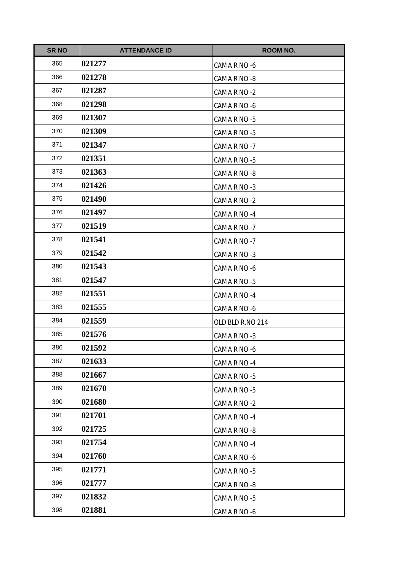| <b>SR NO</b> | <b>ATTENDANCE ID</b> | <b>ROOM NO.</b>  |
|--------------|----------------------|------------------|
| 365          | 021277               | CAMA R NO -6     |
| 366          | 021278               | CAMA R NO -8     |
| 367          | 021287               | CAMA R NO -2     |
| 368          | 021298               | CAMA R NO -6     |
| 369          | 021307               | CAMA R NO -5     |
| 370          | 021309               | CAMA R NO -5     |
| 371          | 021347               | CAMA R NO -7     |
| 372          | 021351               | CAMA R NO -5     |
| 373          | 021363               | CAMA R NO -8     |
| 374          | 021426               | CAMA R NO -3     |
| 375          | 021490               | CAMA R NO -2     |
| 376          | 021497               | CAMA R NO -4     |
| 377          | 021519               | CAMA R NO -7     |
| 378          | 021541               | CAMA R NO -7     |
| 379          | 021542               | CAMA R NO -3     |
| 380          | 021543               | CAMA R NO -6     |
| 381          | 021547               | CAMA R NO -5     |
| 382          | 021551               | CAMA R NO -4     |
| 383          | 021555               | CAMA R NO -6     |
| 384          | 021559               | OLD BLD R.NO 214 |
| 385          | 021576               | CAMA R NO -3     |
| 386          | 021592               | CAMA R NO -6     |
| 387          | 021633               | CAMA R NO -4     |
| 388          | 021667               | CAMA R NO -5     |
| 389          | 021670               | CAMA R NO -5     |
| 390          | 021680               | CAMA R NO -2     |
| 391          | 021701               | CAMA R NO -4     |
| 392          | 021725               | CAMA R NO -8     |
| 393          | 021754               | CAMA R NO -4     |
| 394          | 021760               | CAMA R NO -6     |
| 395          | 021771               | CAMA R NO -5     |
| 396          | 021777               | CAMA R NO -8     |
| 397          | 021832               | CAMA R NO -5     |
| 398          | 021881               | CAMA R NO -6     |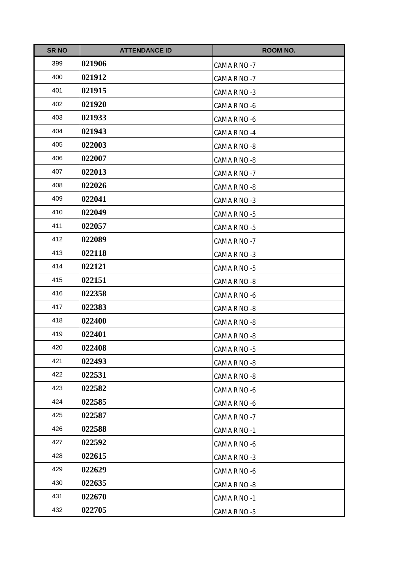| <b>SR NO</b> | <b>ATTENDANCE ID</b> | <b>ROOM NO.</b> |
|--------------|----------------------|-----------------|
| 399          | 021906               | CAMA R NO -7    |
| 400          | 021912               | CAMA R NO -7    |
| 401          | 021915               | CAMA R NO -3    |
| 402          | 021920               | CAMA R NO -6    |
| 403          | 021933               | CAMA R NO -6    |
| 404          | 021943               | CAMA R NO -4    |
| 405          | 022003               | CAMA R NO -8    |
| 406          | 022007               | CAMA R NO -8    |
| 407          | 022013               | CAMA R NO -7    |
| 408          | 022026               | CAMA R NO -8    |
| 409          | 022041               | CAMA R NO -3    |
| 410          | 022049               | CAMA R NO -5    |
| 411          | 022057               | CAMA R NO -5    |
| 412          | 022089               | CAMA R NO -7    |
| 413          | 022118               | CAMA R NO -3    |
| 414          | 022121               | CAMA R NO -5    |
| 415          | 022151               | CAMA R NO -8    |
| 416          | 022358               | CAMA R NO -6    |
| 417          | 022383               | CAMA R NO -8    |
| 418          | 022400               | CAMA R NO -8    |
| 419          | 022401               | CAMA R NO -8    |
| 420          | 022408               | CAMA R NO -5    |
| 421          | 022493               | CAMA R NO -8    |
| 422          | 022531               | CAMA R NO -8    |
| 423          | 022582               | CAMA R NO -6    |
| 424          | 022585               | CAMA R NO -6    |
| 425          | 022587               | CAMA R NO -7    |
| 426          | 022588               | CAMA R NO -1    |
| 427          | 022592               | CAMA R NO -6    |
| 428          | 022615               | CAMA R NO -3    |
| 429          | 022629               | CAMA R NO -6    |
| 430          | 022635               | CAMA R NO -8    |
| 431          | 022670               | CAMA R NO -1    |
| 432          | 022705               | CAMA R NO -5    |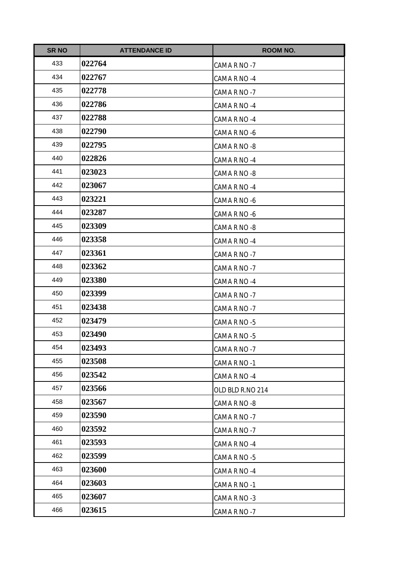| <b>SR NO</b> | <b>ATTENDANCE ID</b> | <b>ROOM NO.</b>  |
|--------------|----------------------|------------------|
| 433          | 022764               | CAMA R NO -7     |
| 434          | 022767               | CAMA R NO -4     |
| 435          | 022778               | CAMA R NO -7     |
| 436          | 022786               | CAMA R NO -4     |
| 437          | 022788               | CAMA R NO -4     |
| 438          | 022790               | CAMA R NO -6     |
| 439          | 022795               | CAMA R NO -8     |
| 440          | 022826               | CAMA R NO -4     |
| 441          | 023023               | CAMA R NO -8     |
| 442          | 023067               | CAMA R NO -4     |
| 443          | 023221               | CAMA R NO -6     |
| 444          | 023287               | CAMA R NO -6     |
| 445          | 023309               | CAMA R NO -8     |
| 446          | 023358               | CAMA R NO -4     |
| 447          | 023361               | CAMA R NO -7     |
| 448          | 023362               | CAMA R NO -7     |
| 449          | 023380               | CAMA R NO -4     |
| 450          | 023399               | CAMA R NO -7     |
| 451          | 023438               | CAMA R NO -7     |
| 452          | 023479               | CAMA R NO -5     |
| 453          | 023490               | CAMA R NO -5     |
| 454          | 023493               | CAMA R NO-7      |
| 455          | 023508               | CAMA R NO -1     |
| 456          | 023542               | CAMA R NO -4     |
| 457          | 023566               | OLD BLD R.NO 214 |
| 458          | 023567               | CAMA R NO -8     |
| 459          | 023590               | CAMA R NO -7     |
| 460          | 023592               | CAMA R NO -7     |
| 461          | 023593               | CAMA R NO -4     |
| 462          | 023599               | CAMA R NO -5     |
| 463          | 023600               | CAMA R NO -4     |
| 464          | 023603               | CAMA R NO -1     |
| 465          | 023607               | CAMA R NO -3     |
| 466          | 023615               | CAMA R NO -7     |